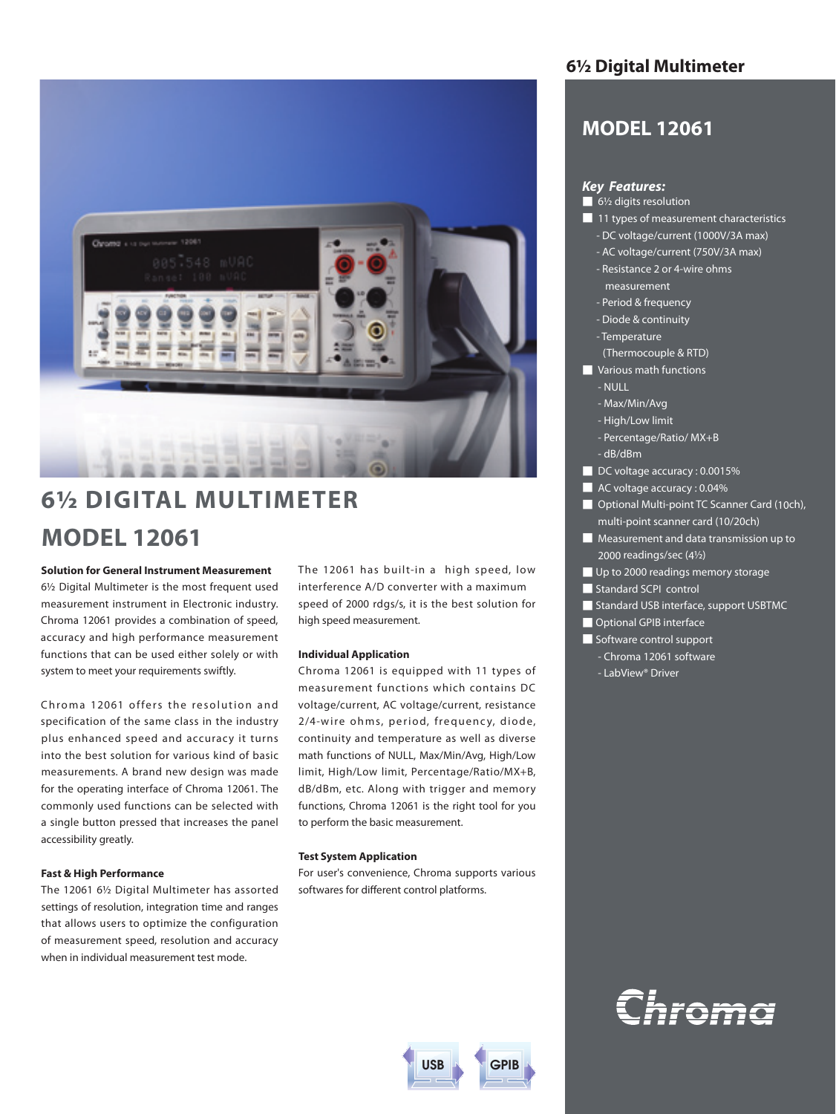

# **6½ DIGITAL MULTIMETER MODEL 12061**

## **Solution for General Instrument Measurement**

6½ Digital Multimeter is the most frequent used measurement instrument in Electronic industry. Chroma 12061 provides a combination of speed, accuracy and high performance measurement functions that can be used either solely or with system to meet your requirements swiftly.

Chroma 12061 offers the resolution and specification of the same class in the industry plus enhanced speed and accuracy it turns into the best solution for various kind of basic measurements. A brand new design was made for the operating interface of Chroma 12061. The commonly used functions can be selected with a single button pressed that increases the panel accessibility greatly.

# **Fast & High Performance**

The 12061 6½ Digital Multimeter has assorted settings of resolution, integration time and ranges that allows users to optimize the configuration of measurement speed, resolution and accuracy when in individual measurement test mode.

The 12061 has built-in a high speed, low interference A/D converter with a maximum speed of 2000 rdgs/s, it is the best solution for high speed measurement.

## **Individual Application**

Chroma 12061 is equipped with 11 types of measurement functions which contains DC voltage/current, AC voltage/current, resistance 2/4-wire ohms, period, frequency, diode, continuity and temperature as well as diverse math functions of NULL, Max/Min/Avg, High/Low limit, High/Low limit, Percentage/Ratio/MX+B, dB/dBm, etc. Along with trigger and memory functions, Chroma 12061 is the right tool for you to perform the basic measurement.

#### **Test System Application**

For user's convenience, Chroma supports various softwares for different control platforms.



# **6½ Digital Multimeter**

# **MODEL 12061**

# *Key Features:*

- 6½ digits resolution
- 11 types of measurement characteristics
	- DC voltage/current (1000V/3A max)
	- AC voltage/current (750V/3A max) - Resistance 2 or 4-wire ohms
	- measurement
	- Period & frequency
	- Diode & continuity
	- Temperature
	- (Thermocouple & RTD)
- **■** Various math functions
- NULL
- Max/Min/Avg
- High/Low limit
- Percentage/Ratio/ MX+B
- dB/dBm
- DC voltage accuracy : 0.0015%
- AC voltage accuracy : 0.04%
- Optional Multi-point TC Scanner Card (10ch), multi-point scanner card (10/20ch)
- Measurement and data transmission up to 2000 readings/sec (4½)
- Up to 2000 readings memory storage
- Standard SCPI control
- Standard USB interface, support USBTMC
- Optional GPIB interface
- Software control support
	- Chroma 12061 software
	- LabView® Driver

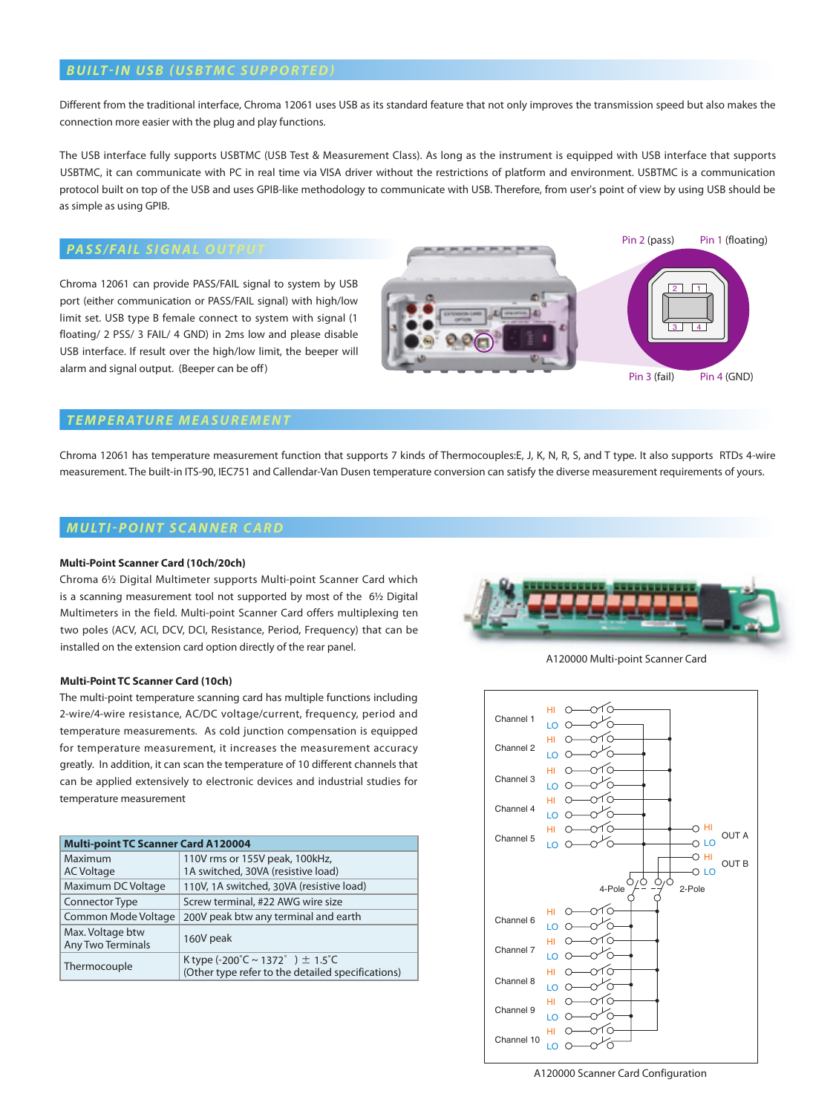# **BUILT-IN USB (USBTMC SUPPORTED)**

Different from the traditional interface, Chroma 12061 uses USB as its standard feature that not only improves the transmission speed but also makes the connection more easier with the plug and play functions.

The USB interface fully supports USBTMC (USB Test & Measurement Class). As long as the instrument is equipped with USB interface that supports USBTMC, it can communicate with PC in real time via VISA driver without the restrictions of platform and environment. USBTMC is a communication protocol built on top of the USB and uses GPIB-like methodology to communicate with USB. Therefore, from user's point of view by using USB should be as simple as using GPIB.

# **PASS/FAIL SIGNAL OUTPU**

Chroma 12061 can provide PASS/FAIL signal to system by USB port (either communication or PASS/FAIL signal) with high/low limit set. USB type B female connect to system with signal (1 floating/ 2 PSS/ 3 FAIL/ 4 GND) in 2ms low and please disable USB interface. If result over the high/low limit, the beeper will alarm and signal output. (Beeper can be off)



# *Temperature Measurement*

Chroma 12061 has temperature measurement function that supports 7 kinds of Thermocouples:E, J, K, N, R, S, and T type. It also supports RTDs 4-wire measurement. The built-in ITS-90, IEC751 and Callendar-Van Dusen temperature conversion can satisfy the diverse measurement requirements of yours.

# *M u lt i -Point Scanner Card*

## **Multi-Point Scanner Card (10ch/20ch)**

Chroma 6½ Digital Multimeter supports Multi-point Scanner Card which is a scanning measurement tool not supported by most of the 6½ Digital Multimeters in the field. Multi-point Scanner Card offers multiplexing ten two poles (ACV, ACI, DCV, DCI, Resistance, Period, Frequency) that can be installed on the extension card option directly of the rear panel.

### **Multi-Point TC Scanner Card (10ch)**

The multi-point temperature scanning card has multiple functions including 2-wire/4-wire resistance, AC/DC voltage/current, frequency, period and temperature measurements. As cold junction compensation is equipped for temperature measurement, it increases the measurement accuracy greatly. In addition, it can scan the temperature of 10 different channels that can be applied extensively to electronic devices and industrial studies for temperature measurement

| <b>Multi-point TC Scanner Card A120004</b>   |                                                                                          |  |  |  |  |
|----------------------------------------------|------------------------------------------------------------------------------------------|--|--|--|--|
| Maximum                                      | 110V rms or 155V peak, 100kHz,                                                           |  |  |  |  |
| <b>AC Voltage</b>                            | 1A switched, 30VA (resistive load)                                                       |  |  |  |  |
| Maximum DC Voltage                           | 110V, 1A switched, 30VA (resistive load)                                                 |  |  |  |  |
| Connector Type                               | Screw terminal, #22 AWG wire size                                                        |  |  |  |  |
| Common Mode Voltage                          | 200V peak btw any terminal and earth                                                     |  |  |  |  |
| Max. Voltage btw<br><b>Any Two Terminals</b> | 160V peak                                                                                |  |  |  |  |
| Thermocouple                                 | K type (-200°C ~ 1372°) $\pm$ 1.5°C<br>(Other type refer to the detailed specifications) |  |  |  |  |



A120000 Multi-point Scanner Card

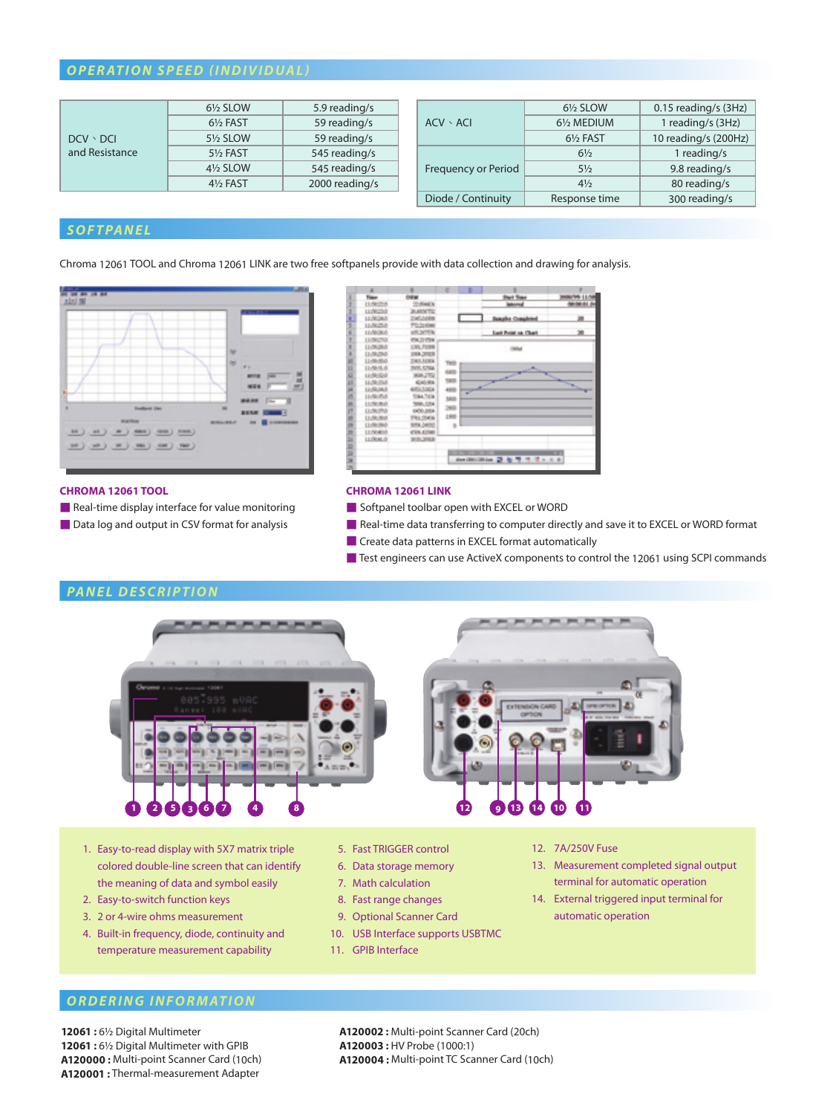# *Operation SpeeD (INDIVIDUAL)*

|                 | 61/2 SLOW                                                                        | 5.9 reading/s  |                     | $6\frac{1}{2}$ SLOW  | 0.15 reading/s (3Hz) |
|-----------------|----------------------------------------------------------------------------------|----------------|---------------------|----------------------|----------------------|
|                 | 61/ <sub>2</sub> FAST                                                            | 59 reading/s   | $ACV \cdot ACI$     | 61/2 MEDIUM          | reading/s (3Hz)      |
| $DCV \cdot DCI$ | 59 reading/s<br>5 <sup>1</sup> / <sub>2</sub> SLOW<br>545 reading/s<br>51/2 FAST |                | $6\frac{1}{2}$ FAST | 10 reading/s (200Hz) |                      |
| and Resistance  |                                                                                  |                | $6\frac{1}{2}$      | 1 reading/s          |                      |
|                 | 41/2 SLOW                                                                        | 545 reading/s  | Frequency or Period | $5\frac{1}{2}$       | 9.8 reading/s        |
|                 | 4 <sup>1</sup> / <sub>2</sub> FAST                                               | 2000 reading/s |                     | $4\frac{1}{2}$       | 80 reading/s         |
|                 |                                                                                  |                | Diode / Continuity  | Response time        | 300 reading/s        |

# *Softpanel*

Chroma 12061 TOOL and Chroma 12061 LINK are two free softpanels provide with data collection and drawing for analysis.



|      | ×             | n.               | e                  | ь | ×                                 |                      |
|------|---------------|------------------|--------------------|---|-----------------------------------|----------------------|
| î    | Time          | OWN              |                    |   | <b>That Time</b>                  | <b>MANYWH 11/58</b>  |
| ž    | 11:58:00:0    | 22/04/08         |                    |   | <b>Internal</b>                   |                      |
| 1    | 11:5023-0     | <b>JUNIOR</b>    |                    |   |                                   |                      |
| ß.   | 11:50:26.51   | <b>ZMOARN</b>    |                    |   | <b>Janubs Craubted</b>            | 迦                    |
|      | 11/40/54      | <b>TUJIER</b>    |                    |   |                                   |                      |
| í    | 11/8000       | ATCASTIC         |                    |   | <b>Carl Print on Chart</b>        | 池                    |
| 1    | LEONOTAR      | <b>VALUATE</b>   |                    |   |                                   |                      |
| ×    | 11/M2R0       | <b>ERLTER</b>    |                    |   | $-000$                            |                      |
| ×    | 11,00,200     | 1997, 691        |                    |   |                                   |                      |
| ı    | 11:50:00      | <b>THE AIR'S</b> | THE                |   |                                   |                      |
| ü    | 11/4/8.0      | FIRE CRIA        |                    |   |                                   |                      |
| a    | 1209020       | <b>MAJTQ</b>     | 683                |   |                                   |                      |
|      | <b>HOUSE</b>  | <b>GALIEA</b>    | ted                |   |                                   | m.                   |
|      | <b>LUMBER</b> | <b>ARTICLES</b>  | 433                |   |                                   | ۰.<br><b>SECTION</b> |
| 1110 | <b>HARASA</b> | <b>SIGA 7104</b> | 383                |   |                                   |                      |
| ×    | 11/9/80       | <b>SING ENG</b>  |                    |   |                                   |                      |
| ö    | 11:56:054     | <b>DOS 2014</b>  | 269                |   |                                   |                      |
| ×    | 13:00:00:01   | <b>THILIDES</b>  | 180                |   |                                   |                      |
| s    | 11/06/05/3    | 954,5400         | 10                 |   |                                   |                      |
| ۰    | LEIMMIN       | 4308-42040       |                    |   |                                   |                      |
| ü    | 11:5640.01    | <b>BOLDINA</b>   |                    |   |                                   |                      |
| ö    |               |                  |                    |   |                                   |                      |
| o    |               |                  | <b>A. S. P. 19</b> |   |                                   | . .                  |
| ×    |               |                  |                    |   | ANTIBORIAL 27 & T. T. T. t. t. B. |                      |
|      |               |                  |                    |   |                                   |                      |

## **CHROMA 12061 TOOL**

- Real-time display interface for value monitoring
- Data log and output in CSV format for analysis

#### **CHROMA 12061 LINK**

- Softpanel toolbar open with EXCEL or WORD
- Real-time data transferring to computer directly and save it to EXCEL or WORD format
- Create data patterns in EXCEL format automatically
- Test engineers can use ActiveX components to control the 12061 using SCPI commands



- 1. Easy-to-read display with 5X7 matrix triple colored double-line screen that can identify the meaning of data and symbol easily
- 2. Easy-to-switch function keys
- 3. 2 or 4-wire ohms measurement
- 4. Built-in frequency, diode, continuity and temperature measurement capability
- 5. Fast TRIGGER control
- 6. Data storage memory
- 7. Math calculation
- 8. Fast range changes
- 9. Optional Scanner Card
- 10. USB Interface supports USBTMC
- 11. GPIB Interface
- 12. 7A/250V Fuse
- 13. Measurement completed signal output terminal for automatic operation
- 14. External triggered input terminal for automatic operation

# *ordering information*

**12061 :** 6½ Digital Multimeter **12061 :** 6½ Digital Multimeter with GPIB **A120000 :** Multi-point Scanner Card (10ch) **A120001 :** Thermal-measurement Adapter

**A120002 :** Multi-point Scanner Card (20ch) **A120003 :** HV Probe (1000:1) **A120004 :** Multi-point TC Scanner Card (10ch)

# *panel description*